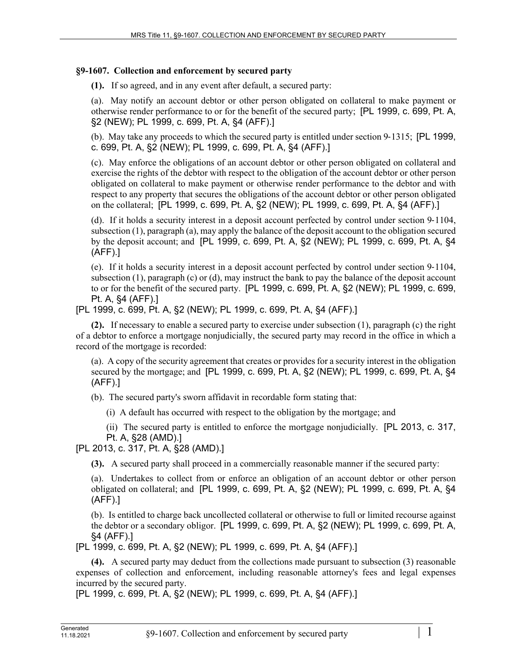## **§9-1607. Collection and enforcement by secured party**

**(1).** If so agreed, and in any event after default, a secured party:

(a). May notify an account debtor or other person obligated on collateral to make payment or otherwise render performance to or for the benefit of the secured party; [PL 1999, c. 699, Pt. A, §2 (NEW); PL 1999, c. 699, Pt. A, §4 (AFF).]

(b). May take any proceeds to which the secured party is entitled under section 9‑1315; [PL 1999, c. 699, Pt. A, §2 (NEW); PL 1999, c. 699, Pt. A, §4 (AFF).]

(c). May enforce the obligations of an account debtor or other person obligated on collateral and exercise the rights of the debtor with respect to the obligation of the account debtor or other person obligated on collateral to make payment or otherwise render performance to the debtor and with respect to any property that secures the obligations of the account debtor or other person obligated on the collateral; [PL 1999, c. 699, Pt. A, §2 (NEW); PL 1999, c. 699, Pt. A, §4 (AFF).]

(d). If it holds a security interest in a deposit account perfected by control under section 9‑1104, subsection (1), paragraph (a), may apply the balance of the deposit account to the obligation secured by the deposit account; and [PL 1999, c. 699, Pt. A, §2 (NEW); PL 1999, c. 699, Pt. A, §4 (AFF).]

(e). If it holds a security interest in a deposit account perfected by control under section 9‑1104, subsection (1), paragraph (c) or (d), may instruct the bank to pay the balance of the deposit account to or for the benefit of the secured party. [PL 1999, c. 699, Pt. A, §2 (NEW); PL 1999, c. 699, Pt. A, §4 (AFF).]

[PL 1999, c. 699, Pt. A, §2 (NEW); PL 1999, c. 699, Pt. A, §4 (AFF).]

**(2).** If necessary to enable a secured party to exercise under subsection (1), paragraph (c) the right of a debtor to enforce a mortgage nonjudicially, the secured party may record in the office in which a record of the mortgage is recorded:

(a). A copy of the security agreement that creates or provides for a security interest in the obligation secured by the mortgage; and [PL 1999, c. 699, Pt. A, §2 (NEW); PL 1999, c. 699, Pt. A, §4 (AFF).]

(b). The secured party's sworn affidavit in recordable form stating that:

(i) A default has occurred with respect to the obligation by the mortgage; and

(ii) The secured party is entitled to enforce the mortgage nonjudicially. [PL 2013, c. 317, Pt. A, §28 (AMD).]

[PL 2013, c. 317, Pt. A, §28 (AMD).]

**(3).** A secured party shall proceed in a commercially reasonable manner if the secured party:

(a). Undertakes to collect from or enforce an obligation of an account debtor or other person obligated on collateral; and [PL 1999, c. 699, Pt. A, §2 (NEW); PL 1999, c. 699, Pt. A, §4 (AFF).]

(b). Is entitled to charge back uncollected collateral or otherwise to full or limited recourse against the debtor or a secondary obligor. [PL 1999, c. 699, Pt. A, §2 (NEW); PL 1999, c. 699, Pt. A, §4 (AFF).]

[PL 1999, c. 699, Pt. A, §2 (NEW); PL 1999, c. 699, Pt. A, §4 (AFF).]

**(4).** A secured party may deduct from the collections made pursuant to subsection (3) reasonable expenses of collection and enforcement, including reasonable attorney's fees and legal expenses incurred by the secured party.

[PL 1999, c. 699, Pt. A, §2 (NEW); PL 1999, c. 699, Pt. A, §4 (AFF).]